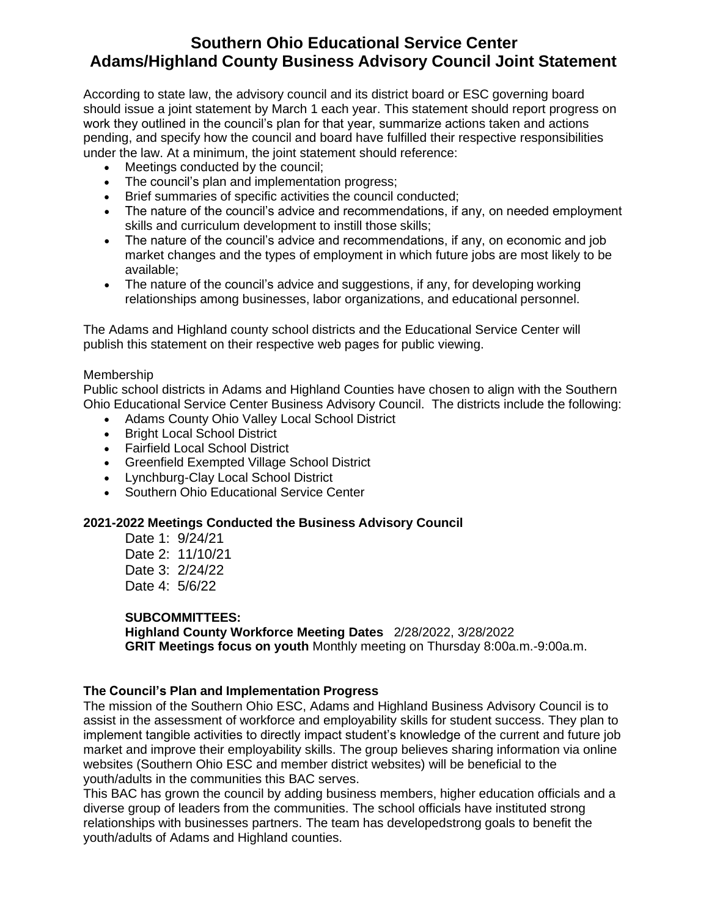# **Southern Ohio Educational Service Center Adams/Highland County Business Advisory Council Joint Statement**

According to state law, the advisory council and its district board or ESC governing board should issue a joint statement by March 1 each year. This statement should report progress on work they outlined in the council's plan for that year, summarize actions taken and actions pending, and specify how the council and board have fulfilled their respective responsibilities under the law. At a minimum, the joint statement should reference:

- Meetings conducted by the council:
- The council's plan and implementation progress;
- Brief summaries of specific activities the council conducted;
- The nature of the council's advice and recommendations, if any, on needed employment skills and curriculum development to instill those skills;
- The nature of the council's advice and recommendations, if any, on economic and job market changes and the types of employment in which future jobs are most likely to be available;
- The nature of the council's advice and suggestions, if any, for developing working relationships among businesses, labor organizations, and educational personnel.

The Adams and Highland county school districts and the Educational Service Center will publish this statement on their respective web pages for public viewing.

# Membership

Public school districts in Adams and Highland Counties have chosen to align with the Southern Ohio Educational Service Center Business Advisory Council. The districts include the following:

- Adams County Ohio Valley Local School District
- Bright Local School District
- Fairfield Local School District
- Greenfield Exempted Village School District
- Lynchburg-Clay Local School District
- Southern Ohio Educational Service Center

# **2021-2022 Meetings Conducted the Business Advisory Council**

Date 1: 9/24/21 Date 2: 11/10/21 Date 3: 2/24/22 Date 4: 5/6/22

#### **SUBCOMMITTEES:**

**Highland County Workforce Meeting Dates** 2/28/2022, 3/28/2022 **GRIT Meetings focus on youth** Monthly meeting on Thursday 8:00a.m.-9:00a.m.

# **The Council's Plan and Implementation Progress**

The mission of the Southern Ohio ESC, Adams and Highland Business Advisory Council is to assist in the assessment of workforce and employability skills for student success. They plan to implement tangible activities to directly impact student's knowledge of the current and future job market and improve their employability skills. The group believes sharing information via online websites (Southern Ohio ESC and member district websites) will be beneficial to the youth/adults in the communities this BAC serves.

This BAC has grown the council by adding business members, higher education officials and a diverse group of leaders from the communities. The school officials have instituted strong relationships with businesses partners. The team has developedstrong goals to benefit the youth/adults of Adams and Highland counties.